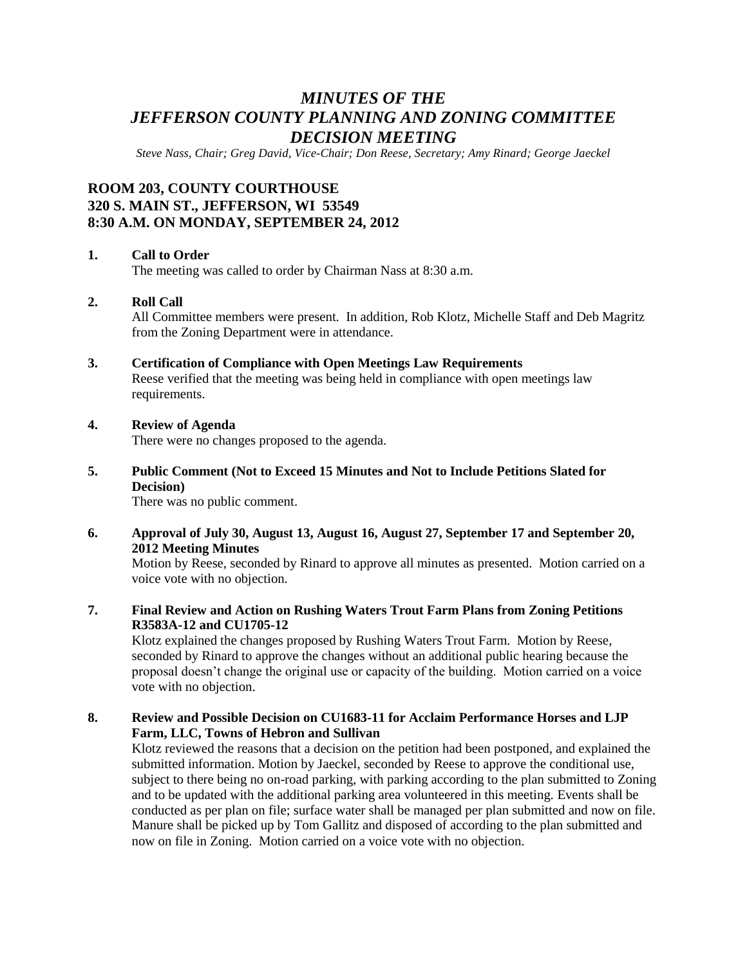# *MINUTES OF THE JEFFERSON COUNTY PLANNING AND ZONING COMMITTEE DECISION MEETING*

*Steve Nass, Chair; Greg David, Vice-Chair; Don Reese, Secretary; Amy Rinard; George Jaeckel*

## **ROOM 203, COUNTY COURTHOUSE 320 S. MAIN ST., JEFFERSON, WI 53549 8:30 A.M. ON MONDAY, SEPTEMBER 24, 2012**

#### **1. Call to Order**

The meeting was called to order by Chairman Nass at 8:30 a.m.

#### **2. Roll Call**

All Committee members were present. In addition, Rob Klotz, Michelle Staff and Deb Magritz from the Zoning Department were in attendance.

#### **3. Certification of Compliance with Open Meetings Law Requirements**

Reese verified that the meeting was being held in compliance with open meetings law requirements.

#### **4. Review of Agenda**

There were no changes proposed to the agenda.

**5. Public Comment (Not to Exceed 15 Minutes and Not to Include Petitions Slated for Decision)**

There was no public comment.

#### **6. Approval of July 30, August 13, August 16, August 27, September 17 and September 20, 2012 Meeting Minutes**

Motion by Reese, seconded by Rinard to approve all minutes as presented. Motion carried on a voice vote with no objection.

#### **7. Final Review and Action on Rushing Waters Trout Farm Plans from Zoning Petitions R3583A-12 and CU1705-12**

Klotz explained the changes proposed by Rushing Waters Trout Farm. Motion by Reese, seconded by Rinard to approve the changes without an additional public hearing because the proposal doesn't change the original use or capacity of the building. Motion carried on a voice vote with no objection.

#### **8. Review and Possible Decision on CU1683-11 for Acclaim Performance Horses and LJP Farm, LLC, Towns of Hebron and Sullivan**

Klotz reviewed the reasons that a decision on the petition had been postponed, and explained the submitted information. Motion by Jaeckel, seconded by Reese to approve the conditional use, subject to there being no on-road parking, with parking according to the plan submitted to Zoning and to be updated with the additional parking area volunteered in this meeting. Events shall be conducted as per plan on file; surface water shall be managed per plan submitted and now on file. Manure shall be picked up by Tom Gallitz and disposed of according to the plan submitted and now on file in Zoning. Motion carried on a voice vote with no objection.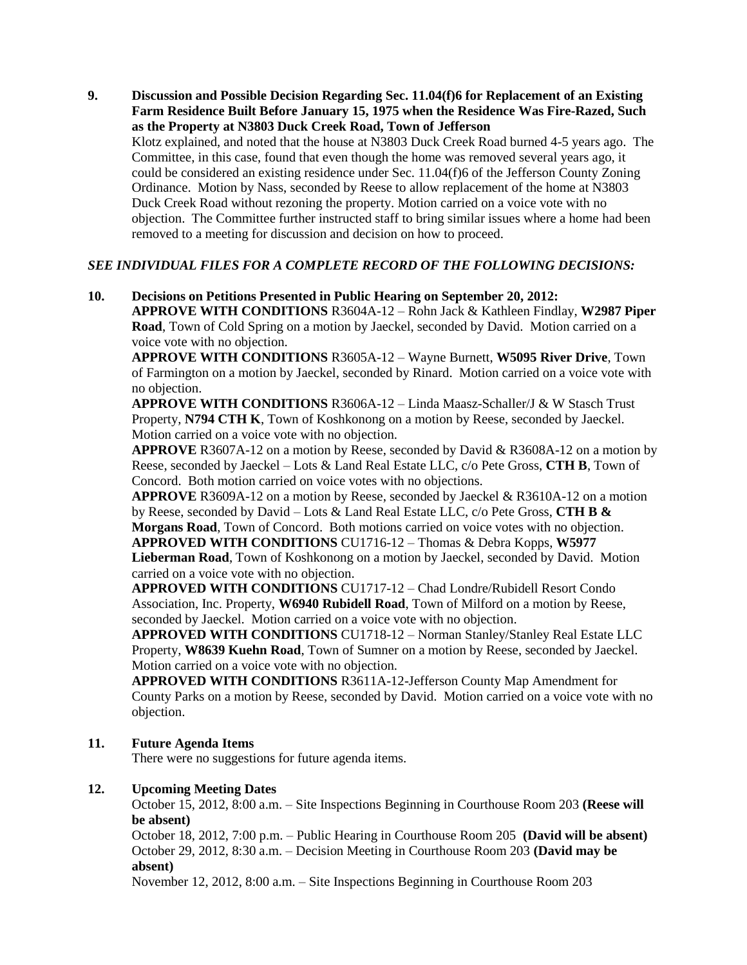**9. Discussion and Possible Decision Regarding Sec. 11.04(f)6 for Replacement of an Existing Farm Residence Built Before January 15, 1975 when the Residence Was Fire-Razed, Such as the Property at N3803 Duck Creek Road, Town of Jefferson** Klotz explained, and noted that the house at N3803 Duck Creek Road burned 4-5 years ago. The Committee, in this case, found that even though the home was removed several years ago, it could be considered an existing residence under Sec. 11.04(f)6 of the Jefferson County Zoning Ordinance. Motion by Nass, seconded by Reese to allow replacement of the home at N3803 Duck Creek Road without rezoning the property. Motion carried on a voice vote with no objection. The Committee further instructed staff to bring similar issues where a home had been removed to a meeting for discussion and decision on how to proceed.

### *SEE INDIVIDUAL FILES FOR A COMPLETE RECORD OF THE FOLLOWING DECISIONS:*

**10. Decisions on Petitions Presented in Public Hearing on September 20, 2012: APPROVE WITH CONDITIONS** R3604A-12 – Rohn Jack & Kathleen Findlay, **W2987 Piper Road**, Town of Cold Spring on a motion by Jaeckel, seconded by David. Motion carried on a voice vote with no objection.

**APPROVE WITH CONDITIONS** R3605A-12 – Wayne Burnett, **W5095 River Drive**, Town of Farmington on a motion by Jaeckel, seconded by Rinard. Motion carried on a voice vote with no objection.

**APPROVE WITH CONDITIONS** R3606A-12 – Linda Maasz-Schaller/J & W Stasch Trust Property, **N794 CTH K**, Town of Koshkonong on a motion by Reese, seconded by Jaeckel. Motion carried on a voice vote with no objection.

**APPROVE** R3607A-12 on a motion by Reese, seconded by David & R3608A-12 on a motion by Reese, seconded by Jaeckel – Lots & Land Real Estate LLC, c/o Pete Gross, **CTH B**, Town of Concord. Both motion carried on voice votes with no objections.

**APPROVE** R3609A-12 on a motion by Reese, seconded by Jaeckel & R3610A-12 on a motion by Reese, seconded by David – Lots & Land Real Estate LLC, c/o Pete Gross, **CTH B & Morgans Road**, Town of Concord. Both motions carried on voice votes with no objection. **APPROVED WITH CONDITIONS** CU1716-12 – Thomas & Debra Kopps, **W5977 Lieberman Road**, Town of Koshkonong on a motion by Jaeckel, seconded by David. Motion carried on a voice vote with no objection.

**APPROVED WITH CONDITIONS** CU1717-12 – Chad Londre/Rubidell Resort Condo Association, Inc. Property, **W6940 Rubidell Road**, Town of Milford on a motion by Reese, seconded by Jaeckel. Motion carried on a voice vote with no objection.

**APPROVED WITH CONDITIONS** CU1718-12 – Norman Stanley/Stanley Real Estate LLC Property, **W8639 Kuehn Road**, Town of Sumner on a motion by Reese, seconded by Jaeckel. Motion carried on a voice vote with no objection.

**APPROVED WITH CONDITIONS** R3611A-12-Jefferson County Map Amendment for County Parks on a motion by Reese, seconded by David. Motion carried on a voice vote with no objection.

#### **11. Future Agenda Items**

There were no suggestions for future agenda items.

#### **12. Upcoming Meeting Dates**

October 15, 2012, 8:00 a.m. – Site Inspections Beginning in Courthouse Room 203 **(Reese will be absent)**

October 18, 2012, 7:00 p.m. – Public Hearing in Courthouse Room 205 **(David will be absent)** October 29, 2012, 8:30 a.m. – Decision Meeting in Courthouse Room 203 **(David may be absent)**

November 12, 2012, 8:00 a.m. – Site Inspections Beginning in Courthouse Room 203